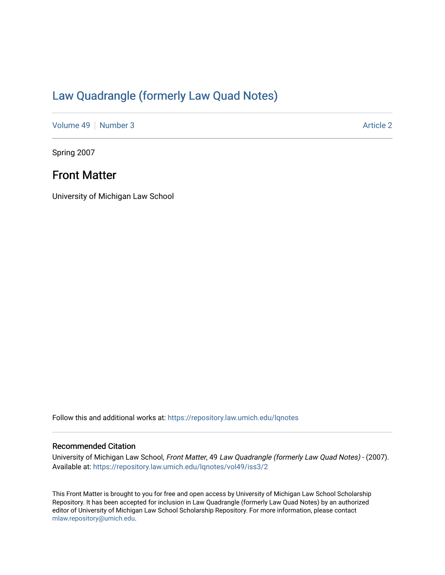# [Law Quadrangle \(formerly Law Quad Notes\)](https://repository.law.umich.edu/lqnotes)

[Volume 49](https://repository.law.umich.edu/lqnotes/vol49) [Number 3](https://repository.law.umich.edu/lqnotes/vol49/iss3) Article 2

Spring 2007

## Front Matter

University of Michigan Law School

Follow this and additional works at: [https://repository.law.umich.edu/lqnotes](https://repository.law.umich.edu/lqnotes?utm_source=repository.law.umich.edu%2Flqnotes%2Fvol49%2Fiss3%2F2&utm_medium=PDF&utm_campaign=PDFCoverPages) 

## Recommended Citation

University of Michigan Law School, Front Matter, 49 Law Quadrangle (formerly Law Quad Notes) - (2007). Available at: [https://repository.law.umich.edu/lqnotes/vol49/iss3/2](https://repository.law.umich.edu/lqnotes/vol49/iss3/2?utm_source=repository.law.umich.edu%2Flqnotes%2Fvol49%2Fiss3%2F2&utm_medium=PDF&utm_campaign=PDFCoverPages) 

This Front Matter is brought to you for free and open access by University of Michigan Law School Scholarship Repository. It has been accepted for inclusion in Law Quadrangle (formerly Law Quad Notes) by an authorized editor of University of Michigan Law School Scholarship Repository. For more information, please contact [mlaw.repository@umich.edu.](mailto:mlaw.repository@umich.edu)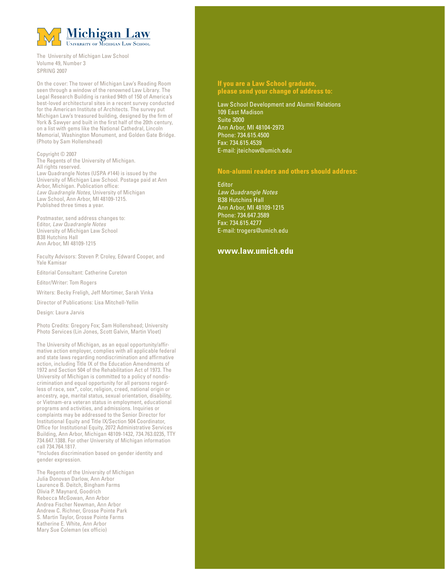

The University of Michigan Law School Volume 49, Number 3 SPRING 2007

On the cover: The tower of Michigan Law's Reading Room seen through a window of the renowned Law Library. The Legal Research Building is ranked 94th of 150 of America's best-loved architectural sites in a recent survey conducted for the American Institute of Architects. The survey put Michigan Law's treasured building, designed by the firm of York & Sawyer and built in the first half of the 20th century, on a list with gems like the National Cathedral, Lincoln Memorial, Washington Monument, and Golden Gate Bridge. (Photo by Sam Hollenshead)

## Copyright © 2007

The Regents of the University of Michigan. All rights reserved. Law Quadrangle Notes (USPA #144) is issued by the University of Michigan Law School. Postage paid at Ann Arbor, Michigan. Publication office: Law Quadrangle Notes, University of Michigan Law School, Ann Arbor, MI 48109-1215. Published three times a year.

Postmaster, send address changes to: Editor, Law Quadrangle Notes University of Michigan Law School B38 Hutchins Hall Ann Arbor, MI 48109-1215

Faculty Advisors: Steven P. Croley, Edward Cooper, and Yale Kamisar

Editorial Consultant: Catherine Cureton

Editor/Writer: Tom Rogers

Writers: Becky Freligh, Jeff Mortimer, Sarah Vinka

Director of Publications: Lisa Mitchell-Yellin

Design: Laura Jarvis

Photo Credits: Gregory Fox; Sam Hollenshead; University Photo Services (Lin Jones, Scott Galvin, Martin Vloet)

The University of Michigan, as an equal opportunity/affirmative action employer, complies with all applicable federal and state laws regarding nondiscrimination and affirmative action, including Title IX of the Education Amendments of 1972 and Section 504 of the Rehabilitation Act of 1973. The University of Michigan is committed to a policy of nondiscrimination and equal opportunity for all persons regardless of race, sex\*, color, religion, creed, national origin or ancestry, age, marital status, sexual orientation, disability, or Vietnam-era veteran status in employment, educational programs and activities, and admissions. Inquiries or complaints may be addressed to the Senior Director for Institutional Equity and Title IX/Section 504 Coordinator, Office for Institutional Equity, 2072 Administrative Services Building, Ann Arbor, Michigan 48109-1432, 734.763.0235, TTY 734.647.1388. For other University of Michigan information call 734.764.1817.

\*Includes discrimination based on gender identity and gender expression.

The Regents of the University of Michigan Julia Donovan Darlow, Ann Arbor Laurence B. Deitch, Bingham Farms Olivia P. Maynard, Goodrich Rebecca McGowan, Ann Arbor Andrea Fischer Newman, Ann Arbor Andrew C. Richner, Grosse Pointe Park S. Martin Taylor, Grosse Pointe Farms Katherine E. White, Ann Arbor Mary Sue Coleman (ex officio)

## **If you are a Law School graduate, please send your change of address to:**

Law School Development and Alumni Relations 109 East Madison Suite 3000 Ann Arbor, MI 48104-2973 Phone: 734.615.4500 Fax: 734.615.4539 E-mail: jteichow@umich.edu

## **Non-alumni readers and others should address:**

**Editor** Law Quadrangle Notes B38 Hutchins Hall Ann Arbor, MI 48109-1215 Phone: 734.647.3589 Fax: 734.615.4277 E-mail: trogers@umich.edu

## **www.law.umich.edu**